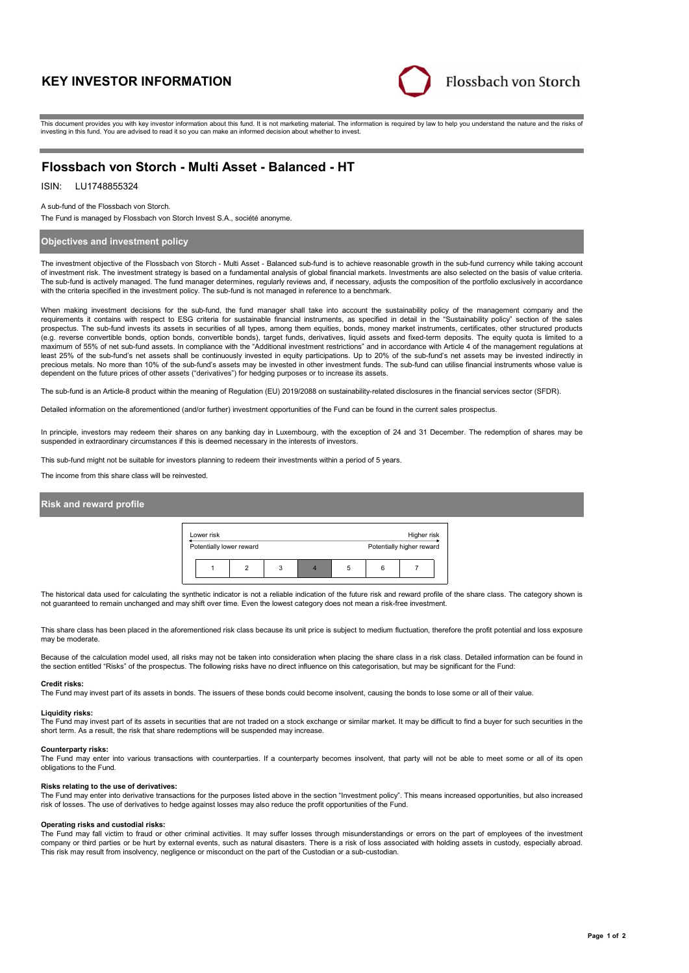# **KEY INVESTOR INFORMATION**



This document provides you with key investor information about this fund. It is not marketing material. The information is required by law to help you understand the nature and the risks of investing in this fund. You are advised to read it so you can make an informed decision about whether to invest.

# **Flossbach von Storch - Multi Asset - Balanced - HT**

# ISIN: LU1748855324

A sub-fund of the Flossbach von Storch.

The Fund is managed by Flossbach von Storch Invest S.A., société anonyme.

# **Objectives and investment policy**

The investment objective of the Flossbach von Storch - Multi Asset - Balanced sub-fund is to achieve reasonable growth in the sub-fund currency while taking account of investment risk. The investment strategy is based on a fundamental analysis of global financial markets. Investments are also selected on the basis of value criteria. The sub-fund is actively managed. The fund manager determines, regularly reviews and, if necessary, adjusts the composition of the portfolio exclusively in accordance with the criteria specified in the investment policy. The sub-fund is not managed in reference to a benchmark.

When making investment decisions for the sub-fund, the fund manager shall take into account the sustainability policy of the management company and the requirements it contains with respect to ESG criteria for sustainable financial instruments, as specified in detail in the "Sustainability policy" section of the sales<br>prospectus. The sub-fund invests its assets in securit (e.g. reverse convertible bonds, option bonds, convertible bonds), target funds, derivatives, liquid assets and fixed-term deposits. The equity quota is limited to a maximum of 55% of net sub-fund assets. In compliance with the "Additional investment restrictions" and in accordance with Article 4 of the management regulations at least 25% of the sub-fund's net assets shall be continuously invested in equity participations. Up to 20% of the sub-fund's net assets may be invested indirectly in precious metals. No more than 10% of the sub-fund's assets may be invested in other investment funds. The sub-fund can utilise financial instruments whose value is<br>dependent on the future prices of other assets ("derivativ

The sub-fund is an Article-8 product within the meaning of Regulation (EU) 2019/2088 on sustainability-related disclosures in the financial services sector (SFDR).

Detailed information on the aforementioned (and/or further) investment opportunities of the Fund can be found in the current sales prospectus.

In principle, investors may redeem their shares on any banking day in Luxembourg, with the exception of 24 and 31 December. The redemption of shares may be suspended in extraordinary circumstances if this is deemed necessary in the interests of investors.

This sub-fund might not be suitable for investors planning to redeem their investments within a period of 5 years.

The income from this share class will be reinvested.

## **Risk and reward profile**

| Lower risk               |   |  |   | Higher risk               |  |
|--------------------------|---|--|---|---------------------------|--|
| Potentially lower reward |   |  |   | Potentially higher reward |  |
|                          | 3 |  | հ |                           |  |

The historical data used for calculating the synthetic indicator is not a reliable indication of the future risk and reward profile of the share class. The category shown is not guaranteed to remain unchanged and may shift over time. Even the lowest category does not mean a risk-free investment.

This share class has been placed in the aforementioned risk class because its unit price is subject to medium fluctuation, therefore the profit potential and loss exposure may be moderate

Because of the calculation model used, all risks may not be taken into consideration when placing the share class in a risk class. Detailed information can be found in the section entitled "Risks" of the prospectus. The following risks have no direct influence on this categorisation, but may be significant for the Fund:

#### **Credit risks:**

The Fund may invest part of its assets in bonds. The issuers of these bonds could become insolvent, causing the bonds to lose some or all of their value.

#### **Liquidity risks:**

The Fund may invest part of its assets in securities that are not traded on a stock exchange or similar market. It may be difficult to find a buyer for such securities in the short term. As a result, the risk that share redemptions will be suspended may increase.

#### **Counterparty risks:**

The Fund may enter into various transactions with counterparties. If a counterparty becomes insolvent, that party will not be able to meet some or all of its open obligations to the Fund.

#### **Risks relating to the use of derivatives:**

The Fund may enter into derivative transactions for the purposes listed above in the section "Investment policy". This means increased opportunities, but also increased risk of losses. The use of derivatives to hedge against losses may also reduce the profit opportunities of the Fund.

#### **Operating risks and custodial risks:**

The Fund may fall victim to fraud or other criminal activities. It may suffer losses through misunderstandings or errors on the part of employees of the investment company or third parties or be hurt by external events, such as natural disasters. There is a risk of loss associated with holding assets in custody, especially abroad. This risk may result from insolvency, negligence or misconduct on the part of the Custodian or a sub-custodian.